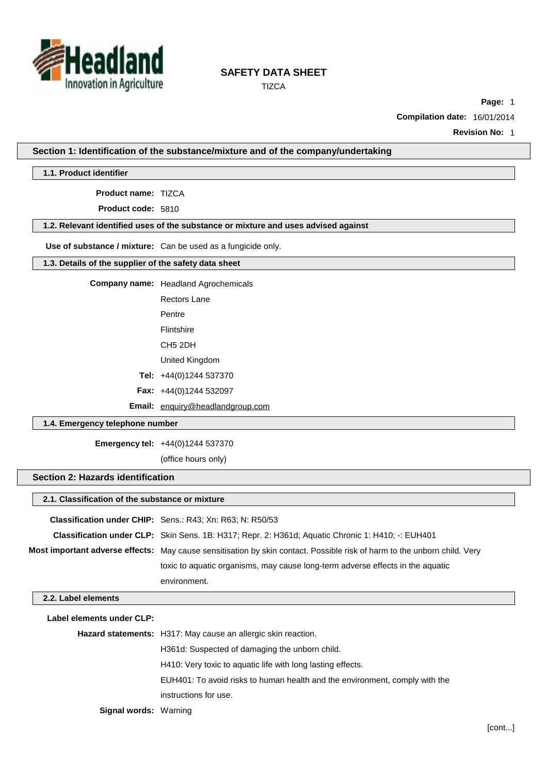

**TIZCA** 

**Page:** 1

**Compilation date:** 16/01/2014

**Revision No:** 1

**Section 1: Identification of the substance/mixture and of the company/undertaking**

**1.1. Product identifier**

**Product name:** TIZCA

**Product code:** 5810

# **1.2. Relevant identified uses of the substance or mixture and uses advised against**

**Use of substance / mixture:** Can be used as a fungicide only.

### **1.3. Details of the supplier of the safety data sheet**

**Company name:** Headland Agrochemicals

Rectors Lane

Pentre

Flintshire

CH5 2DH United Kingdom

**Tel:** +44(0)1244 537370

**Fax:** +44(0)1244 532097

**Email:** [enquiry@headlandgroup.com](mailto:enquiry@headlandgroup.com)

### **1.4. Emergency telephone number**

**Emergency tel:** +44(0)1244 537370

(office hours only)

# **Section 2: Hazards identification**

| 2.1. Classification of the substance or mixture |                                                                                                                                 |  |  |  |
|-------------------------------------------------|---------------------------------------------------------------------------------------------------------------------------------|--|--|--|
|                                                 | <b>Classification under CHIP:</b> Sens.: R43; Xn: R63; N: R50/53                                                                |  |  |  |
|                                                 | Classification under CLP: Skin Sens. 1B: H317; Repr. 2: H361d; Aquatic Chronic 1: H410; -: EUH401                               |  |  |  |
|                                                 | <b>Most important adverse effects:</b> May cause sensitisation by skin contact. Possible risk of harm to the unborn child. Very |  |  |  |
|                                                 | toxic to aquatic organisms, may cause long-term adverse effects in the aquatic                                                  |  |  |  |
|                                                 | environment.                                                                                                                    |  |  |  |
| 2.2. Label elements                             |                                                                                                                                 |  |  |  |
| Label elements under CLP:                       |                                                                                                                                 |  |  |  |
|                                                 | Hazard statements: H317: May cause an allergic skin reaction.                                                                   |  |  |  |
|                                                 | H361d: Suspected of damaging the unborn child.                                                                                  |  |  |  |
|                                                 | H410: Very toxic to aquatic life with long lasting effects.                                                                     |  |  |  |
|                                                 | EUH401: To avoid risks to human health and the environment, comply with the                                                     |  |  |  |

instructions for use.

**Signal words:** Warning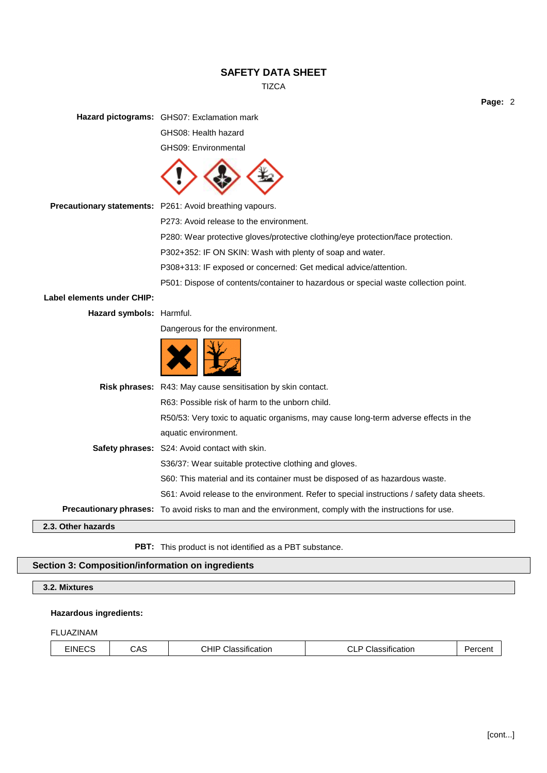**TIZCA** 

**Page:** 2

**Hazard pictograms:** GHS07: Exclamation mark

GHS08: Health hazard

GHS09: Environmental



**Precautionary statements:** P261: Avoid breathing vapours.

P273: Avoid release to the environment.

P280: Wear protective gloves/protective clothing/eye protection/face protection.

P302+352: IF ON SKIN: Wash with plenty of soap and water.

P308+313: IF exposed or concerned: Get medical advice/attention.

P501: Dispose of contents/container to hazardous or special waste collection point.

**Label elements under CHIP:**

**Hazard symbols:** Harmful.

Dangerous for the environment.

|--|--|

|                    | <b>Risk phrases:</b> R43: May cause sensitisation by skin contact.                                             |
|--------------------|----------------------------------------------------------------------------------------------------------------|
|                    | R63: Possible risk of harm to the unborn child.                                                                |
|                    | R50/53: Very toxic to aquatic organisms, may cause long-term adverse effects in the                            |
|                    | aquatic environment.                                                                                           |
|                    | <b>Safety phrases:</b> S24: Avoid contact with skin.                                                           |
|                    | S36/37: Wear suitable protective clothing and gloves.                                                          |
|                    | S60: This material and its container must be disposed of as hazardous waste.                                   |
|                    | S61: Avoid release to the environment. Refer to special instructions / safety data sheets.                     |
|                    | <b>Precautionary phrases:</b> To avoid risks to man and the environment, comply with the instructions for use. |
| 2.3. Other hazards |                                                                                                                |

**PBT:** This product is not identified as a PBT substance.

## **Section 3: Composition/information on ingredients**

# **3.2. Mixtures**

### **Hazardous ingredients:**

### FLUAZINAM

| <b>EINECS</b><br>$\sim$ $\sim$<br>$\cdots$<br>CAS<br>$\overline{\phantom{0}}$<br>.<br>.<br>ыа∘<br>essification.<br>cation<br>. .<br>sur<br>,nıı<br>ᆈ<br>┚┖ |  |
|------------------------------------------------------------------------------------------------------------------------------------------------------------|--|
|------------------------------------------------------------------------------------------------------------------------------------------------------------|--|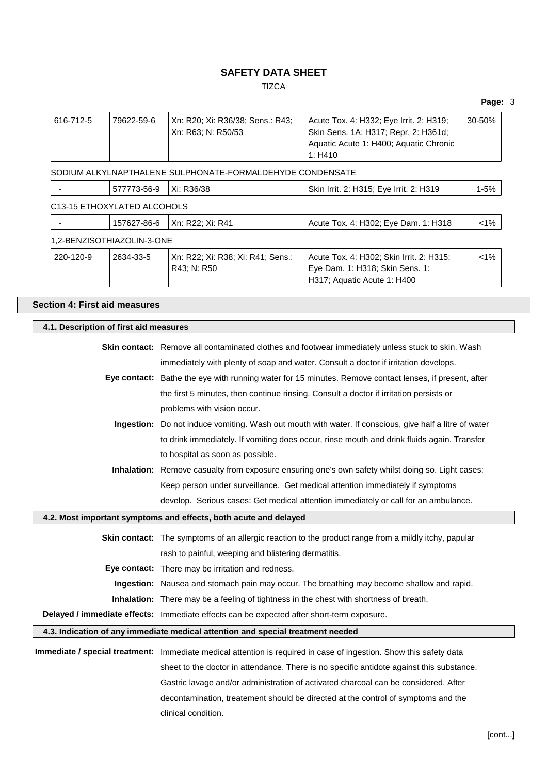**TIZCA** 

Acute Tox. 4: H332; Eye Irrit. 2: H319;

616-712-5 79622-59-6 Xn: R20; Xi: R36/38; Sens.: R43;

|                                                                                                   |                                                                                                        | Xn: R63; N: R50/53                                                                        | Skin Sens. 1A: H317; Repr. 2: H361d;<br>Aquatic Acute 1: H400; Aquatic Chronic<br>1: H410                                                                                                |          |  |  |
|---------------------------------------------------------------------------------------------------|--------------------------------------------------------------------------------------------------------|-------------------------------------------------------------------------------------------|------------------------------------------------------------------------------------------------------------------------------------------------------------------------------------------|----------|--|--|
|                                                                                                   |                                                                                                        | SODIUM ALKYLNAPTHALENE SULPHONATE-FORMALDEHYDE CONDENSATE                                 |                                                                                                                                                                                          |          |  |  |
|                                                                                                   | 577773-56-9                                                                                            | Xi: R36/38                                                                                | Skin Irrit. 2: H315; Eye Irrit. 2: H319                                                                                                                                                  | $1 - 5%$ |  |  |
| C13-15 ETHOXYLATED ALCOHOLS                                                                       |                                                                                                        |                                                                                           |                                                                                                                                                                                          |          |  |  |
|                                                                                                   | 157627-86-6                                                                                            | Xn: R22; Xi: R41                                                                          | Acute Tox. 4: H302; Eye Dam. 1: H318                                                                                                                                                     | $< 1\%$  |  |  |
| 1,2-BENZISOTHIAZOLIN-3-ONE                                                                        |                                                                                                        |                                                                                           |                                                                                                                                                                                          |          |  |  |
| 220-120-9<br>2634-33-5                                                                            |                                                                                                        | Xn: R22; Xi: R38; Xi: R41; Sens.:<br>R43; N: R50                                          | Acute Tox. 4: H302; Skin Irrit. 2: H315;<br>Eye Dam. 1: H318; Skin Sens. 1:<br>H317; Aquatic Acute 1: H400                                                                               | $< 1\%$  |  |  |
| <b>Section 4: First aid measures</b>                                                              |                                                                                                        |                                                                                           |                                                                                                                                                                                          |          |  |  |
| 4.1. Description of first aid measures                                                            |                                                                                                        |                                                                                           |                                                                                                                                                                                          |          |  |  |
|                                                                                                   |                                                                                                        |                                                                                           |                                                                                                                                                                                          |          |  |  |
|                                                                                                   |                                                                                                        |                                                                                           | Skin contact: Remove all contaminated clothes and footwear immediately unless stuck to skin. Wash<br>immediately with plenty of soap and water. Consult a doctor if irritation develops. |          |  |  |
|                                                                                                   |                                                                                                        |                                                                                           | Eye contact: Bathe the eye with running water for 15 minutes. Remove contact lenses, if present, after                                                                                   |          |  |  |
|                                                                                                   |                                                                                                        | the first 5 minutes, then continue rinsing. Consult a doctor if irritation persists or    |                                                                                                                                                                                          |          |  |  |
|                                                                                                   |                                                                                                        | problems with vision occur.                                                               |                                                                                                                                                                                          |          |  |  |
|                                                                                                   | Ingestion: Do not induce vomiting. Wash out mouth with water. If conscious, give half a litre of water |                                                                                           |                                                                                                                                                                                          |          |  |  |
| to drink immediately. If vomiting does occur, rinse mouth and drink fluids again. Transfer        |                                                                                                        |                                                                                           |                                                                                                                                                                                          |          |  |  |
| to hospital as soon as possible.                                                                  |                                                                                                        |                                                                                           |                                                                                                                                                                                          |          |  |  |
| Inhalation: Remove casualty from exposure ensuring one's own safety whilst doing so. Light cases: |                                                                                                        |                                                                                           |                                                                                                                                                                                          |          |  |  |
| Keep person under surveillance. Get medical attention immediately if symptoms                     |                                                                                                        |                                                                                           |                                                                                                                                                                                          |          |  |  |
|                                                                                                   |                                                                                                        |                                                                                           | develop. Serious cases: Get medical attention immediately or call for an ambulance.                                                                                                      |          |  |  |
| 4.2. Most important symptoms and effects, both acute and delayed                                  |                                                                                                        |                                                                                           |                                                                                                                                                                                          |          |  |  |
|                                                                                                   |                                                                                                        |                                                                                           | Skin contact: The symptoms of an allergic reaction to the product range from a mildly itchy, papular                                                                                     |          |  |  |
|                                                                                                   |                                                                                                        | rash to painful, weeping and blistering dermatitis.                                       |                                                                                                                                                                                          |          |  |  |
|                                                                                                   |                                                                                                        | Eye contact: There may be irritation and redness.                                         |                                                                                                                                                                                          |          |  |  |
|                                                                                                   |                                                                                                        | Ingestion: Nausea and stomach pain may occur. The breathing may become shallow and rapid. |                                                                                                                                                                                          |          |  |  |
|                                                                                                   |                                                                                                        | Inhalation: There may be a feeling of tightness in the chest with shortness of breath.    |                                                                                                                                                                                          |          |  |  |
|                                                                                                   |                                                                                                        | Delayed / immediate effects: Immediate effects can be expected after short-term exposure. |                                                                                                                                                                                          |          |  |  |
|                                                                                                   |                                                                                                        | 4.3. Indication of any immediate medical attention and special treatment needed           |                                                                                                                                                                                          |          |  |  |
|                                                                                                   |                                                                                                        |                                                                                           | Immediate / special treatment: Immediate medical attention is required in case of ingestion. Show this safety data                                                                       |          |  |  |
|                                                                                                   |                                                                                                        |                                                                                           | sheet to the doctor in attendance. There is no specific antidote against this substance.                                                                                                 |          |  |  |
|                                                                                                   |                                                                                                        |                                                                                           | Gastric lavage and/or administration of activated charcoal can be considered. After                                                                                                      |          |  |  |
|                                                                                                   |                                                                                                        |                                                                                           | decontamination, treatement should be directed at the control of symptoms and the                                                                                                        |          |  |  |
|                                                                                                   |                                                                                                        | clinical condition.                                                                       |                                                                                                                                                                                          |          |  |  |
|                                                                                                   |                                                                                                        |                                                                                           |                                                                                                                                                                                          |          |  |  |

**Page:** 3

30-50%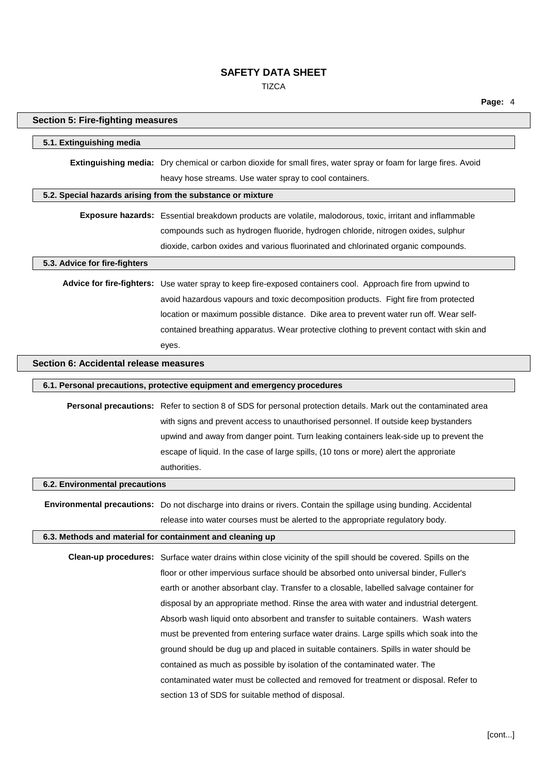**TIZCA** 

**Page:** 4

| <b>Section 5: Fire-fighting measures</b> |                                                                                                                                                                            |
|------------------------------------------|----------------------------------------------------------------------------------------------------------------------------------------------------------------------------|
| 5.1. Extinguishing media                 |                                                                                                                                                                            |
|                                          | Extinguishing media: Dry chemical or carbon dioxide for small fires, water spray or foam for large fires. Avoid<br>heavy hose streams. Use water spray to cool containers. |
|                                          | 5.2. Special hazards arising from the substance or mixture                                                                                                                 |
|                                          | Exposure hazards: Essential breakdown products are volatile, malodorous, toxic, irritant and inflammable                                                                   |
|                                          | compounds such as hydrogen fluoride, hydrogen chloride, nitrogen oxides, sulphur                                                                                           |
|                                          | dioxide, carbon oxides and various fluorinated and chlorinated organic compounds.                                                                                          |
| 5.3. Advice for fire-fighters            |                                                                                                                                                                            |
|                                          | Advice for fire-fighters: Use water spray to keep fire-exposed containers cool. Approach fire from upwind to                                                               |
|                                          | avoid hazardous vapours and toxic decomposition products. Fight fire from protected                                                                                        |
|                                          | location or maximum possible distance. Dike area to prevent water run off. Wear self-                                                                                      |
|                                          | contained breathing apparatus. Wear protective clothing to prevent contact with skin and                                                                                   |
|                                          | eyes.                                                                                                                                                                      |
| Section 6: Accidental release measures   |                                                                                                                                                                            |
|                                          | 6.1. Personal precautions, protective equipment and emergency procedures                                                                                                   |
|                                          | Personal precautions: Refer to section 8 of SDS for personal protection details. Mark out the contaminated area                                                            |
|                                          | with signs and prevent access to unauthorised personnel. If outside keep bystanders                                                                                        |
|                                          | upwind and away from danger point. Turn leaking containers leak-side up to prevent the                                                                                     |
|                                          | escape of liquid. In the case of large spills, (10 tons or more) alert the approriate                                                                                      |
|                                          | authorities.                                                                                                                                                               |
| 6.2. Environmental precautions           |                                                                                                                                                                            |
|                                          | Environmental precautions: Do not discharge into drains or rivers. Contain the spillage using bunding. Accidental                                                          |
|                                          | release into water courses must be alerted to the appropriate regulatory body.                                                                                             |
|                                          | 6.3. Methods and material for containment and cleaning up                                                                                                                  |
|                                          | Clean-up procedures: Surface water drains within close vicinity of the spill should be covered. Spills on the                                                              |
|                                          | floor or other impervious surface should be absorbed onto universal binder, Fuller's                                                                                       |
|                                          | earth or another absorbant clay. Transfer to a closable, labelled salvage container for                                                                                    |
|                                          | disposal by an appropriate method. Rinse the area with water and industrial detergent.                                                                                     |
|                                          | Absorb wash liquid onto absorbent and transfer to suitable containers. Wash waters                                                                                         |
|                                          | must be prevented from entering surface water drains. Large spills which soak into the                                                                                     |
|                                          | ground should be dug up and placed in suitable containers. Spills in water should be                                                                                       |
|                                          | contained as much as possible by isolation of the contaminated water. The                                                                                                  |
|                                          | contaminated water must be collected and removed for treatment or disposal. Refer to                                                                                       |
|                                          | section 13 of SDS for suitable method of disposal.                                                                                                                         |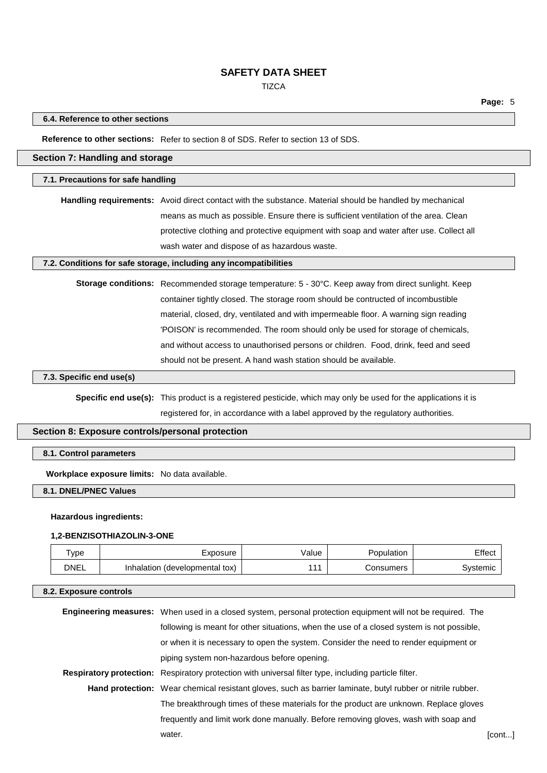**TIZCA** 

### **6.4. Reference to other sections**

**Reference to other sections:** Refer to section 8 of SDS. Refer to section 13 of SDS.

### **Section 7: Handling and storage**

#### **7.1. Precautions for safe handling**

**Handling requirements:** Avoid direct contact with the substance. Material should be handled by mechanical means as much as possible. Ensure there is sufficient ventilation of the area. Clean protective clothing and protective equipment with soap and water after use. Collect all wash water and dispose of as hazardous waste.

### **7.2. Conditions for safe storage, including any incompatibilities**

**Storage conditions:** Recommended storage temperature: 5 - 30°C. Keep away from direct sunlight. Keep container tightly closed. The storage room should be contructed of incombustible material, closed, dry, ventilated and with impermeable floor. A warning sign reading 'POISON' is recommended. The room should only be used for storage of chemicals, and without access to unauthorised persons or children. Food, drink, feed and seed should not be present. A hand wash station should be available.

### **7.3. Specific end use(s)**

**Specific end use(s):** This product is a registered pesticide, which may only be used for the applications it is registered for, in accordance with a label approved by the regulatory authorities.

# **Section 8: Exposure controls/personal protection**

### **8.1. Control parameters**

**Workplace exposure limits:** No data available.

### **8.1. DNEL/PNEC Values**

#### **Hazardous ingredients:**

### **1,2-BENZISOTHIAZOLIN-3-ONE**

| Type        | Exposure                       | alue/ | ≌opulation | ⊟ffect   |
|-------------|--------------------------------|-------|------------|----------|
| <b>DNEL</b> | Inhalation (developmental tox) | 111   | Consumers  | Systemic |

#### **8.2. Exposure controls**

| <b>Engineering measures:</b> When used in a closed system, personal protection equipment will not be required. The |        |
|--------------------------------------------------------------------------------------------------------------------|--------|
| following is meant for other situations, when the use of a closed system is not possible,                          |        |
| or when it is necessary to open the system. Consider the need to render equipment or                               |        |
| piping system non-hazardous before opening.                                                                        |        |
| Respiratory protection: Respiratory protection with universal filter type, including particle filter.              |        |
| Hand protection: Wear chemical resistant gloves, such as barrier laminate, butyl rubber or nitrile rubber.         |        |
| The breakthrough times of these materials for the product are unknown. Replace gloves                              |        |
| frequently and limit work done manually. Before removing gloves, wash with soap and                                |        |
| water.                                                                                                             | [cont] |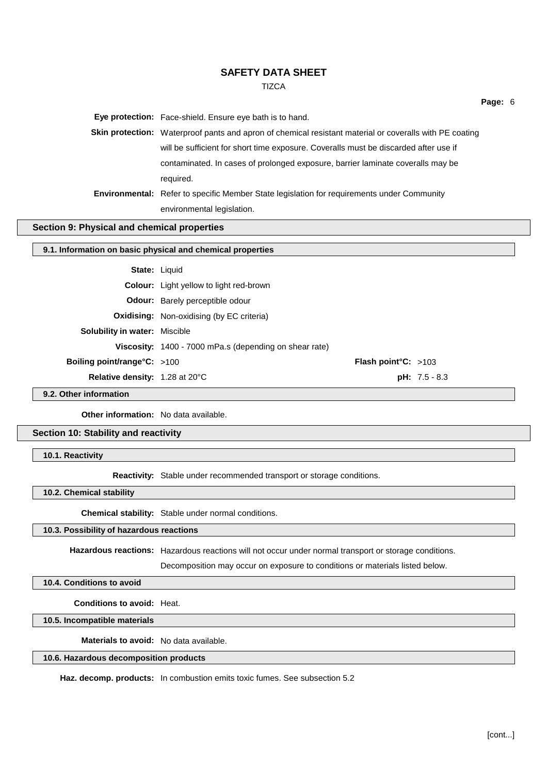**TIZCA** 

**Eye protection:** Face-shield. Ensure eye bath is to hand.

**Skin protection:** Waterproof pants and apron of chemical resistant material or coveralls with PE coating will be sufficient for short time exposure. Coveralls must be discarded after use if contaminated. In cases of prolonged exposure, barrier laminate coveralls may be required. **Environmental:** Refer to specific Member State legislation for requirements under Community

environmental legislation.

# **Section 9: Physical and chemical properties**

#### **9.1. Information on basic physical and chemical properties**

|                                       | <b>State: Liquid</b>                                   |                               |                 |
|---------------------------------------|--------------------------------------------------------|-------------------------------|-----------------|
|                                       | <b>Colour:</b> Light yellow to light red-brown         |                               |                 |
|                                       | <b>Odour:</b> Barely perceptible odour                 |                               |                 |
|                                       | <b>Oxidising:</b> Non-oxidising (by EC criteria)       |                               |                 |
| <b>Solubility in water: Miscible</b>  |                                                        |                               |                 |
|                                       | Viscosity: 1400 - 7000 mPa.s (depending on shear rate) |                               |                 |
| <b>Boiling point/range°C:</b> >100    |                                                        | <b>Flash point °C:</b> $>103$ |                 |
| <b>Relative density:</b> 1.28 at 20°C |                                                        |                               | $pH: 7.5 - 8.3$ |
|                                       |                                                        |                               |                 |

**9.2. Other information**

**Other information:** No data available.

## **Section 10: Stability and reactivity**

**10.1. Reactivity**

**Reactivity:** Stable under recommended transport or storage conditions.

**10.2. Chemical stability**

**Chemical stability:** Stable under normal conditions.

### **10.3. Possibility of hazardous reactions**

**Hazardous reactions:** Hazardous reactions will not occur under normal transport or storage conditions.

Decomposition may occur on exposure to conditions or materials listed below.

**10.4. Conditions to avoid**

**Conditions to avoid:** Heat.

**10.5. Incompatible materials**

**Materials to avoid:** No data available.

### **10.6. Hazardous decomposition products**

**Haz. decomp. products:** In combustion emits toxic fumes. See subsection 5.2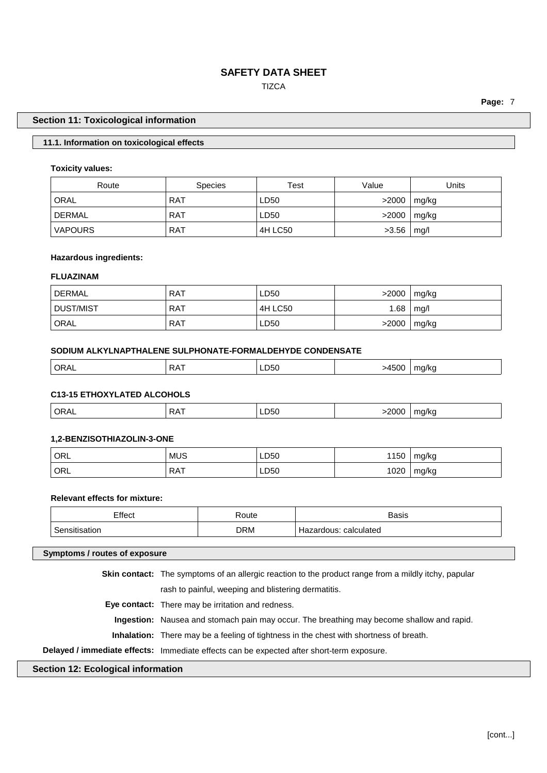# **TIZCA**

**Page:** 7

### **Section 11: Toxicological information**

### **11.1. Information on toxicological effects**

### **Toxicity values:**

| Route          | <b>Species</b> | Test    | Value | Units |
|----------------|----------------|---------|-------|-------|
| ORAL           | <b>RAT</b>     | LD50    | >2000 | mg/kg |
| DERMAL         | <b>RAT</b>     | LD50    | >2000 | mg/kg |
| <b>VAPOURS</b> | <b>RAT</b>     | 4H LC50 | >3.56 | mg/l  |

### **Hazardous ingredients:**

# **FLUAZINAM**

| DERMAL <sup>'</sup> | RAT        | LD50    | >2000 | mg/kg |
|---------------------|------------|---------|-------|-------|
| DUST/MIST           | <b>RAT</b> | 4H LC50 | 1.68  | mg/l  |
| ' ORAL              | <b>RAT</b> | LD50    | >2000 | mg/kg |

### **SODIUM ALKYLNAPTHALENE SULPHONATE-FORMALDEHYDE CONDENSATE**

| ORAL | $R^2$ R $\Delta$ $\overline{A}$ | ∟טכט | $1 - 0 -$ | na/kr |
|------|---------------------------------|------|-----------|-------|
|      |                                 | $ -$ | >4500     | . .   |
|      |                                 |      |           |       |

# **C13-15 ETHOXYLATED ALCOHOLS**

| ORA.<br>◡ ・・・ | - - | ∟∟∪ບ<br>$ -$ | $\overline{\phantom{a}}$ |
|---------------|-----|--------------|--------------------------|
|               |     |              |                          |

### **1,2-BENZISOTHIAZOLIN-3-ONE**

| ORL | <b>MUS</b> | LD50 | 1150 | mg/kg |
|-----|------------|------|------|-------|
| ORL | <b>RAT</b> | LD50 | 1020 | mg/kg |

# **Relevant effects for mixture:**

| Effect<br>----- | १oute      | Basis                               |
|-----------------|------------|-------------------------------------|
| ∽<br>ıor        | <b>DRM</b> | calculated<br>.dous:<br>∠arr<br>⊓d∠ |

#### **Symptoms / routes of exposure**

**Skin contact:** The symptoms of an allergic reaction to the product range from a mildly itchy, papular

rash to painful, weeping and blistering dermatitis.

**Eye contact:** There may be irritation and redness.

**Ingestion:** Nausea and stomach pain may occur. The breathing may become shallow and rapid.

**Inhalation:** There may be a feeling of tightness in the chest with shortness of breath.

# **Delayed / immediate effects:** Immediate effects can be expected after short-term exposure.

# **Section 12: Ecological information**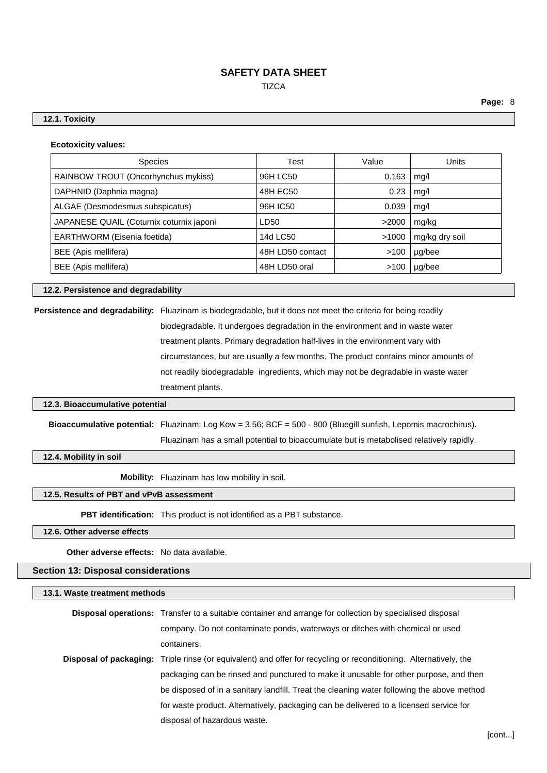**TIZCA** 

**Page:** 8

### **12.1. Toxicity**

| <b>Ecotoxicity values:</b> |  |
|----------------------------|--|
|----------------------------|--|

| <b>Species</b>                           | Test             | Value | <b>Units</b>   |
|------------------------------------------|------------------|-------|----------------|
| RAINBOW TROUT (Oncorhynchus mykiss)      | 96H LC50         | 0.163 | mg/l           |
| DAPHNID (Daphnia magna)                  | 48H EC50         | 0.23  | mg/l           |
| ALGAE (Desmodesmus subspicatus)          | 96H IC50         | 0.039 | mq/l           |
| JAPANESE QUAIL (Coturnix coturnix japoni | LD50             | >2000 | mg/kg          |
| EARTHWORM (Eisenia foetida)              | 14d LC50         | >1000 | mg/kg dry soil |
| BEE (Apis mellifera)                     | 48H LD50 contact | >100  | µg/bee         |
| BEE (Apis mellifera)                     | 48H LD50 oral    | >100  | µg/bee         |

**12.2. Persistence and degradability**

**Persistence and degradability:** Fluazinam is biodegradable, but it does not meet the criteria for being readily biodegradable. It undergoes degradation in the environment and in waste water treatment plants. Primary degradation half-lives in the environment vary with circumstances, but are usually a few months. The product contains minor amounts of not readily biodegradable ingredients, which may not be degradable in waste water treatment plants.

#### **12.3. Bioaccumulative potential**

**Bioaccumulative potential:** Fluazinam: Log Kow = 3.56; BCF = 500 - 800 (Bluegill sunfish, Lepomis macrochirus). Fluazinam has a small potential to bioaccumulate but is metabolised relatively rapidly.

**12.4. Mobility in soil**

**Mobility:** Fluazinam has low mobility in soil.

#### **12.5. Results of PBT and vPvB assessment**

**PBT identification:** This product is not identified as a PBT substance.

**12.6. Other adverse effects**

**Other adverse effects:** No data available.

### **Section 13: Disposal considerations**

**13.1. Waste treatment methods**

| <b>Disposal operations:</b> Transfer to a suitable container and arrange for collection by specialised disposal          |
|--------------------------------------------------------------------------------------------------------------------------|
| company. Do not contaminate ponds, waterways or ditches with chemical or used                                            |
| containers.                                                                                                              |
| <b>Disposal of packaging:</b> Triple rinse (or equivalent) and offer for recycling or reconditioning. Alternatively, the |
| packaging can be rinsed and punctured to make it unusable for other purpose, and then                                    |
| be disposed of in a sanitary landfill. Treat the cleaning water following the above method                               |
| for waste product. Alternatively, packaging can be delivered to a licensed service for                                   |
| disposal of hazardous waste.                                                                                             |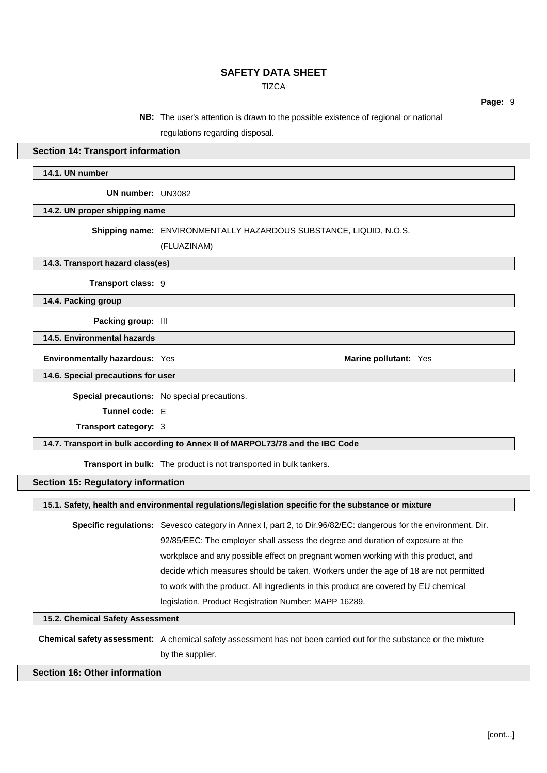**TIZCA** 

**Page:** 9

**NB:** The user's attention is drawn to the possible existence of regional or national

regulations regarding disposal.

### **Section 14: Transport information**

**14.1. UN number**

**UN number:** UN3082

**14.2. UN proper shipping name**

**Shipping name:** ENVIRONMENTALLY HAZARDOUS SUBSTANCE, LIQUID, N.O.S.

(FLUAZINAM)

**14.3. Transport hazard class(es)**

**Transport class:** 9

**14.4. Packing group**

**Packing group:** III

**14.5. Environmental hazards**

**Environmentally hazardous:** Yes **Marine pollutant:** Yes

**14.6. Special precautions for user**

**Special precautions:** No special precautions.

**Tunnel code:** E

**Transport category:** 3

### **14.7. Transport in bulk according to Annex II of MARPOL73/78 and the IBC Code**

**Transport in bulk:** The product is not transported in bulk tankers.

### **Section 15: Regulatory information**

**15.1. Safety, health and environmental regulations/legislation specific for the substance or mixture**

**Specific regulations:** Sevesco category in Annex I, part 2, to Dir.96/82/EC: dangerous for the environment. Dir. 92/85/EEC: The employer shall assess the degree and duration of exposure at the workplace and any possible effect on pregnant women working with this product, and decide which measures should be taken. Workers under the age of 18 are not permitted to work with the product. All ingredients in this product are covered by EU chemical legislation. Product Registration Number: MAPP 16289.

**15.2. Chemical Safety Assessment**

**Chemical safety assessment:** A chemical safety assessment has not been carried out for the substance or the mixture by the supplier.

### **Section 16: Other information**